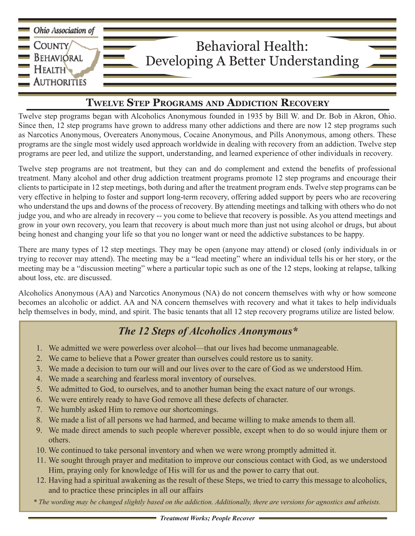

## **Twelve Step Programs and Addiction Recovery**

Twelve step programs began with Alcoholics Anonymous founded in 1935 by Bill W. and Dr. Bob in Akron, Ohio. Since then, 12 step programs have grown to address many other addictions and there are now 12 step programs such as Narcotics Anonymous, Overeaters Anonymous, Cocaine Anonymous, and Pills Anonymous, among others. These programs are the single most widely used approach worldwide in dealing with recovery from an addiction. Twelve step programs are peer led, and utilize the support, understanding, and learned experience of other individuals in recovery.

Twelve step programs are not treatment, but they can and do complement and extend the benefits of professional treatment. Many alcohol and other drug addiction treatment programs promote 12 step programs and encourage their clients to participate in 12 step meetings, both during and after the treatment program ends. Twelve step programs can be very effective in helping to foster and support long-term recovery, offering added support by peers who are recovering who understand the ups and downs of the process of recovery. By attending meetings and talking with others who do not judge you, and who are already in recovery -- you come to believe that recovery is possible. As you attend meetings and grow in your own recovery, you learn that recovery is about much more than just not using alcohol or drugs, but about being honest and changing your life so that you no longer want or need the addictive substances to be happy.

There are many types of 12 step meetings. They may be open (anyone may attend) or closed (only individuals in or trying to recover may attend). The meeting may be a "lead meeting" where an individual tells his or her story, or the meeting may be a "discussion meeting" where a particular topic such as one of the 12 steps, looking at relapse, talking about loss, etc. are discussed.

Alcoholics Anonymous (AA) and Narcotics Anonymous (NA) do not concern themselves with why or how someone becomes an alcoholic or addict. AA and NA concern themselves with recovery and what it takes to help individuals help themselves in body, mind, and spirit. The basic tenants that all 12 step recovery programs utilize are listed below.

## *The 12 Steps of Alcoholics Anonymous\**

- 1. We admitted we were powerless over alcohol—that our lives had become unmanageable.
- 2. We came to believe that a Power greater than ourselves could restore us to sanity.
- 3. We made a decision to turn our will and our lives over to the care of God as we understood Him.
- 4. We made a searching and fearless moral inventory of ourselves.
- 5. We admitted to God, to ourselves, and to another human being the exact nature of our wrongs.
- 6. We were entirely ready to have God remove all these defects of character.
- 7. We humbly asked Him to remove our shortcomings.
- 8. We made a list of all persons we had harmed, and became willing to make amends to them all.
- 9. We made direct amends to such people wherever possible, except when to do so would injure them or others.
- 10. We continued to take personal inventory and when we were wrong promptly admitted it.
- 11. We sought through prayer and meditation to improve our conscious contact with God, as we understood Him, praying only for knowledge of His will for us and the power to carry that out.
- 12. Having had a spiritual awakening as the result of these Steps, we tried to carry this message to alcoholics, and to practice these principles in all our affairs
- *\* The wording may be changed slightly based on the addiction. Additionally, there are versions for agnostics and atheists.*